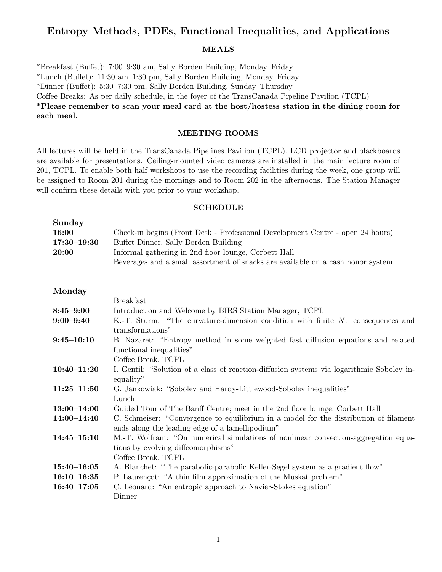## Entropy Methods, PDEs, Functional Inequalities, and Applications

## MEALS

\*Breakfast (Buffet): 7:00–9:30 am, Sally Borden Building, Monday–Friday \*Lunch (Buffet): 11:30 am–1:30 pm, Sally Borden Building, Monday–Friday \*Dinner (Buffet): 5:30–7:30 pm, Sally Borden Building, Sunday–Thursday Coffee Breaks: As per daily schedule, in the foyer of the TransCanada Pipeline Pavilion (TCPL) \*Please remember to scan your meal card at the host/hostess station in the dining room for each meal.

## MEETING ROOMS

All lectures will be held in the TransCanada Pipelines Pavilion (TCPL). LCD projector and blackboards are available for presentations. Ceiling-mounted video cameras are installed in the main lecture room of 201, TCPL. To enable both half workshops to use the recording facilities during the week, one group will be assigned to Room 201 during the mornings and to Room 202 in the afternoons. The Station Manager will confirm these details with you prior to your workshop.

#### SCHEDULE

| Sunday          |                                                                                  |
|-----------------|----------------------------------------------------------------------------------|
| 16:00           | Check-in begins (Front Desk - Professional Development Centre - open 24 hours)   |
| $17:30 - 19:30$ | Buffet Dinner, Sally Borden Building                                             |
| 20:00           | Informal gathering in 2nd floor lounge, Corbett Hall                             |
|                 | Beverages and a small assortment of snacks are available on a cash honor system. |
|                 |                                                                                  |

Monday

| <b>Breakfast</b>                                                                          |
|-------------------------------------------------------------------------------------------|
| Introduction and Welcome by BIRS Station Manager, TCPL                                    |
| K.-T. Sturm: "The curvature-dimension condition with finite $N$ : consequences and        |
| transformations"                                                                          |
| B. Nazaret: "Entropy method in some weighted fast diffusion equations and related         |
| functional inequalities"                                                                  |
| Coffee Break, TCPL                                                                        |
| I. Gentil: "Solution of a class of reaction-diffusion systems via logarithmic Sobolev in- |
| equality"                                                                                 |
| G. Jankowiak: "Sobolev and Hardy-Littlewood-Sobolev inequalities"                         |
| Lunch                                                                                     |
| Guided Tour of The Banff Centre; meet in the 2nd floor lounge, Corbett Hall               |
| C. Schmeiser: "Convergence to equilibrium in a model for the distribution of filament     |
| ends along the leading edge of a lamellipodium"                                           |
| M.-T. Wolfram: "On numerical simulations of nonlinear convection-aggregation equa-        |
| tions by evolving diffeomorphisms"                                                        |
| Coffee Break, TCPL                                                                        |
| A. Blanchet: "The parabolic-parabolic Keller-Segel system as a gradient flow"             |
| P. Laurencot: "A thin film approximation of the Muskat problem"                           |
| C. Léonard: "An entropic approach to Navier-Stokes equation"                              |
| Dinner                                                                                    |
|                                                                                           |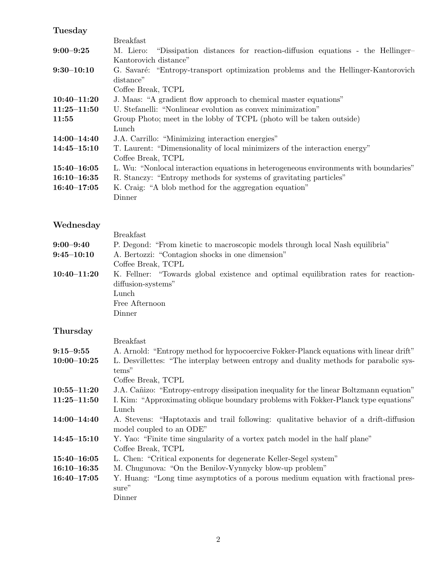## Tuesday

| <b>Breakfast</b>                                                                      |
|---------------------------------------------------------------------------------------|
| "Dissipation distances for reaction-diffusion equations - the Hellinger-<br>M. Liero: |
| Kantorovich distance"                                                                 |
| G. Savaré: "Entropy-transport optimization problems and the Hellinger-Kantorovich     |
| distance"                                                                             |
| Coffee Break, TCPL                                                                    |
| J. Maas: "A gradient flow approach to chemical master equations"                      |
| U. Stefanelli: "Nonlinear evolution as convex minimization"                           |
| Group Photo; meet in the lobby of TCPL (photo will be taken outside)                  |
| Lunch                                                                                 |
| J.A. Carrillo: "Minimizing interaction energies"                                      |
| T. Laurent: "Dimensionality of local minimizers of the interaction energy"            |
| Coffee Break, TCPL                                                                    |
| L. Wu: "Nonlocal interaction equations in heterogeneous environments with boundaries" |
| R. Stanczy: "Entropy methods for systems of gravitating particles"                    |
| K. Craig: "A blob method for the aggregation equation"                                |
| Dinner                                                                                |
|                                                                                       |

# Wednesday

| Wednesday       |                                                                                     |
|-----------------|-------------------------------------------------------------------------------------|
|                 | <b>Breakfast</b>                                                                    |
| $9:00 - 9:40$   | P. Degond: "From kinetic to macroscopic models through local Nash equilibria"       |
| $9:45 - 10:10$  | A. Bertozzi: "Contagion shocks in one dimension"                                    |
|                 | Coffee Break, TCPL                                                                  |
| $10:40 - 11:20$ | K. Fellner: "Towards global existence and optimal equilibration rates for reaction- |
|                 | diffusion-systems"                                                                  |
|                 | Lunch                                                                               |
|                 | Free Afternoon                                                                      |
|                 | Dinner                                                                              |

## Thursday

|                 | <b>Breakfast</b>                                                                        |
|-----------------|-----------------------------------------------------------------------------------------|
| $9:15 - 9:55$   | A. Arnold: "Entropy method for hypocoercive Fokker-Planck equations with linear drift"  |
| $10:00 - 10:25$ | L. Desvillettes: "The interplay between entropy and duality methods for parabolic sys-  |
|                 | tems"                                                                                   |
|                 | Coffee Break, TCPL                                                                      |
| $10:55 - 11:20$ | J.A. Cañizo: "Entropy-entropy dissipation inequality for the linear Boltzmann equation" |
| $11:25 - 11:50$ | I. Kim: "Approximating oblique boundary problems with Fokker-Planck type equations"     |
|                 | Lunch                                                                                   |
| 14:00–14:40     | A. Stevens: "Haptotaxis and trail following: qualitative behavior of a drift-diffusion  |
|                 | model coupled to an ODE"                                                                |
| $14:45 - 15:10$ | Y. Yao: "Finite time singularity of a vortex patch model in the half plane"             |
|                 | Coffee Break, TCPL                                                                      |
| $15:40 - 16:05$ | L. Chen: "Critical exponents for degenerate Keller-Segel system"                        |
| $16:10 - 16:35$ | M. Chugunova: "On the Benilov-Vynnycky blow-up problem"                                 |
| $16:40 - 17:05$ | Y. Huang: "Long time asymptotics of a porous medium equation with fractional pres-      |
|                 | sure"                                                                                   |
|                 | Dinner                                                                                  |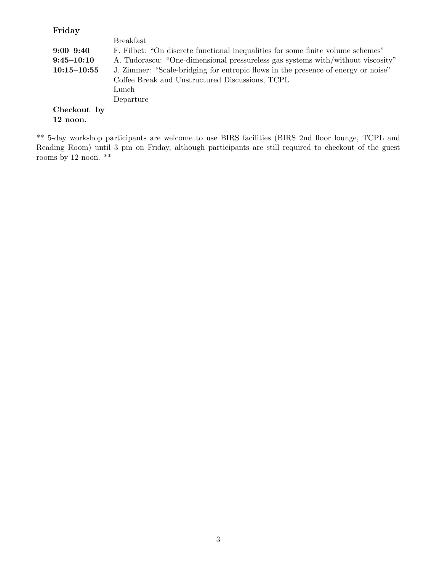Friday

|                 | <b>Breakfast</b>                                                                  |
|-----------------|-----------------------------------------------------------------------------------|
| $9:00 - 9:40$   | F. Filbet: "On discrete functional inequalities for some finite volume schemes"   |
| $9:45 - 10:10$  | A. Tudorascu: "One-dimensional pressureless gas systems with/without viscosity"   |
| $10:15 - 10:55$ | J. Zimmer: "Scale-bridging for entropic flows in the presence of energy or noise" |
|                 | Coffee Break and Unstructured Discussions, TCPL                                   |
|                 | Lunch                                                                             |
|                 | Departure                                                                         |
| Checkout by     |                                                                                   |
| 12 noon.        |                                                                                   |
|                 |                                                                                   |

\*\* 5-day workshop participants are welcome to use BIRS facilities (BIRS 2nd floor lounge, TCPL and Reading Room) until 3 pm on Friday, although participants are still required to checkout of the guest rooms by 12 noon.  $**$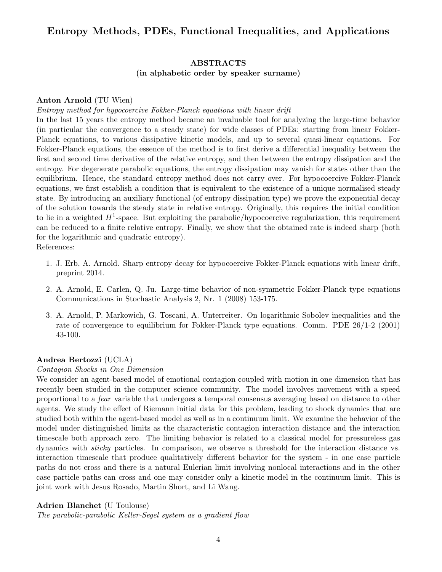## Entropy Methods, PDEs, Functional Inequalities, and Applications

## ABSTRACTS (in alphabetic order by speaker surname)

## Anton Arnold (TU Wien)

## Entropy method for hypocoercive Fokker-Planck equations with linear drift

In the last 15 years the entropy method became an invaluable tool for analyzing the large-time behavior (in particular the convergence to a steady state) for wide classes of PDEs: starting from linear Fokker-Planck equations, to various dissipative kinetic models, and up to several quasi-linear equations. For Fokker-Planck equations, the essence of the method is to first derive a differential inequality between the first and second time derivative of the relative entropy, and then between the entropy dissipation and the entropy. For degenerate parabolic equations, the entropy dissipation may vanish for states other than the equilibrium. Hence, the standard entropy method does not carry over. For hypocoercive Fokker-Planck equations, we first establish a condition that is equivalent to the existence of a unique normalised steady state. By introducing an auxiliary functional (of entropy dissipation type) we prove the exponential decay of the solution towards the steady state in relative entropy. Originally, this requires the initial condition to lie in a weighted  $H^1$ -space. But exploiting the parabolic/hypocoercive regularization, this requirement can be reduced to a finite relative entropy. Finally, we show that the obtained rate is indeed sharp (both for the logarithmic and quadratic entropy).

References:

- 1. J. Erb, A. Arnold. Sharp entropy decay for hypocoercive Fokker-Planck equations with linear drift, preprint 2014.
- 2. A. Arnold, E. Carlen, Q. Ju. Large-time behavior of non-symmetric Fokker-Planck type equations Communications in Stochastic Analysis 2, Nr. 1 (2008) 153-175.
- 3. A. Arnold, P. Markowich, G. Toscani, A. Unterreiter. On logarithmic Sobolev inequalities and the rate of convergence to equilibrium for Fokker-Planck type equations. Comm. PDE 26/1-2 (2001) 43-100.

## Andrea Bertozzi (UCLA)

## Contagion Shocks in One Dimension

We consider an agent-based model of emotional contagion coupled with motion in one dimension that has recently been studied in the computer science community. The model involves movement with a speed proportional to a fear variable that undergoes a temporal consensus averaging based on distance to other agents. We study the effect of Riemann initial data for this problem, leading to shock dynamics that are studied both within the agent-based model as well as in a continuum limit. We examine the behavior of the model under distinguished limits as the characteristic contagion interaction distance and the interaction timescale both approach zero. The limiting behavior is related to a classical model for pressureless gas dynamics with sticky particles. In comparison, we observe a threshold for the interaction distance vs. interaction timescale that produce qualitatively different behavior for the system - in one case particle paths do not cross and there is a natural Eulerian limit involving nonlocal interactions and in the other case particle paths can cross and one may consider only a kinetic model in the continuum limit. This is joint work with Jesus Rosado, Martin Short, and Li Wang.

## Adrien Blanchet (U Toulouse)

The parabolic-parabolic Keller-Segel system as a gradient flow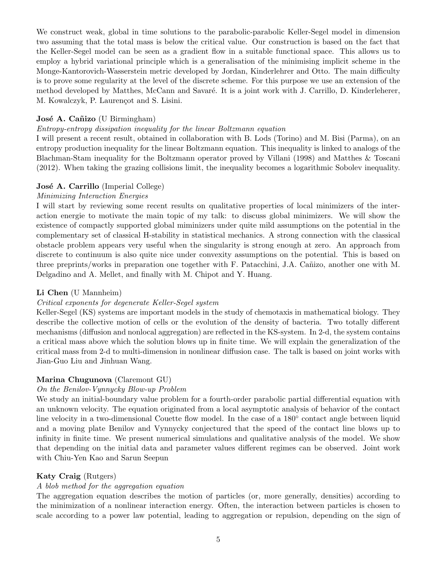We construct weak, global in time solutions to the parabolic-parabolic Keller-Segel model in dimension two assuming that the total mass is below the critical value. Our construction is based on the fact that the Keller-Segel model can be seen as a gradient flow in a suitable functional space. This allows us to employ a hybrid variational principle which is a generalisation of the minimising implicit scheme in the Monge-Kantorovich-Wasserstein metric developed by Jordan, Kinderlehrer and Otto. The main difficulty is to prove some regularity at the level of the discrete scheme. For this purpose we use an extension of the method developed by Matthes, McCann and Savaré. It is a joint work with J. Carrillo, D. Kinderleherer, M. Kowalczyk, P. Laurençot and S. Lisini.

## José A. Cañizo (U Birmingham)

## Entropy-entropy dissipation inequality for the linear Boltzmann equation

I will present a recent result, obtained in collaboration with B. Lods (Torino) and M. Bisi (Parma), on an entropy production inequality for the linear Boltzmann equation. This inequality is linked to analogs of the Blachman-Stam inequality for the Boltzmann operator proved by Villani (1998) and Matthes & Toscani (2012). When taking the grazing collisions limit, the inequality becomes a logarithmic Sobolev inequality.

## José A. Carrillo (Imperial College)

## Minimizing Interaction Energies

I will start by reviewing some recent results on qualitative properties of local minimizers of the interaction energie to motivate the main topic of my talk: to discuss global minimizers. We will show the existence of compactly supported global miminizers under quite mild assumptions on the potential in the complementary set of classical H-stability in statistical mechanics. A strong connection with the classical obstacle problem appears very useful when the singularity is strong enough at zero. An approach from discrete to continuum is also quite nice under convexity assumptions on the potential. This is based on three preprints/works in preparation one together with F. Patacchini, J.A. Cañizo, another one with M. Delgadino and A. Mellet, and finally with M. Chipot and Y. Huang.

## Li Chen (U Mannheim)

## Critical exponents for degenerate Keller-Segel system

Keller-Segel (KS) systems are important models in the study of chemotaxis in mathematical biology. They describe the collective motion of cells or the evolution of the density of bacteria. Two totally different mechanisms (diffusion and nonlocal aggregation) are reflected in the KS-system. In 2-d, the system contains a critical mass above which the solution blows up in finite time. We will explain the generalization of the critical mass from 2-d to multi-dimension in nonlinear diffusion case. The talk is based on joint works with Jian-Guo Liu and Jinhuan Wang.

## Marina Chugunova (Claremont GU)

## On the Benilov-Vynnycky Blow-up Problem

We study an initial-boundary value problem for a fourth-order parabolic partial differential equation with an unknown velocity. The equation originated from a local asymptotic analysis of behavior of the contact line velocity in a two-dimensional Couette flow model. In the case of a 180<sup>°</sup> contact angle between liquid and a moving plate Benilov and Vynnycky conjectured that the speed of the contact line blows up to infinity in finite time. We present numerical simulations and qualitative analysis of the model. We show that depending on the initial data and parameter values different regimes can be observed. Joint work with Chiu-Yen Kao and Sarun Seepun

## Katy Craig (Rutgers)

## A blob method for the aggregation equation

The aggregation equation describes the motion of particles (or, more generally, densities) according to the minimization of a nonlinear interaction energy. Often, the interaction between particles is chosen to scale according to a power law potential, leading to aggregation or repulsion, depending on the sign of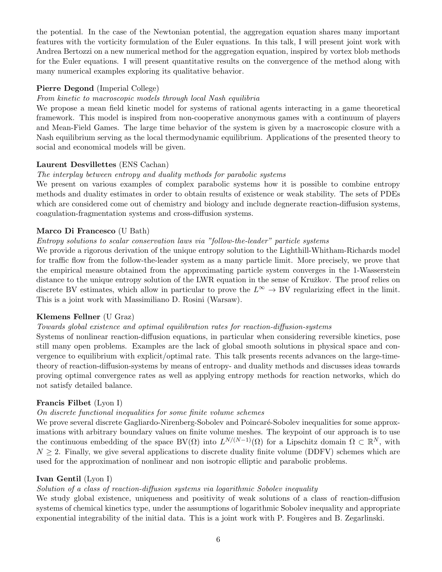the potential. In the case of the Newtonian potential, the aggregation equation shares many important features with the vorticity formulation of the Euler equations. In this talk, I will present joint work with Andrea Bertozzi on a new numerical method for the aggregation equation, inspired by vortex blob methods for the Euler equations. I will present quantitative results on the convergence of the method along with many numerical examples exploring its qualitative behavior.

## Pierre Degond (Imperial College)

#### From kinetic to macroscopic models through local Nash equilibria

We propose a mean field kinetic model for systems of rational agents interacting in a game theoretical framework. This model is inspired from non-cooperative anonymous games with a continuum of players and Mean-Field Games. The large time behavior of the system is given by a macroscopic closure with a Nash equilibrium serving as the local thermodynamic equilibrium. Applications of the presented theory to social and economical models will be given.

#### Laurent Desvillettes (ENS Cachan)

#### The interplay between entropy and duality methods for parabolic systems

We present on various examples of complex parabolic systems how it is possible to combine entropy methods and duality estimates in order to obtain results of existence or weak stability. The sets of PDEs which are considered come out of chemistry and biology and include degnerate reaction-diffusion systems, coagulation-fragmentation systems and cross-diffusion systems.

## Marco Di Francesco (U Bath)

## Entropy solutions to scalar conservation laws via "follow-the-leader" particle systems

We provide a rigorous derivation of the unique entropy solution to the Lighthill-Whitham-Richards model for traffic flow from the follow-the-leader system as a many particle limit. More precisely, we prove that the empirical measure obtained from the approximating particle system converges in the 1-Wasserstein distance to the unique entropy solution of the LWR equation in the sense of Kružkov. The proof relies on discrete BV estimates, which allow in particular to prove the  $L^{\infty} \to BV$  regularizing effect in the limit. This is a joint work with Massimiliano D. Rosini (Warsaw).

## Klemens Fellner (U Graz)

#### Towards global existence and optimal equilibration rates for reaction-diffusion-systems

Systems of nonlinear reaction-diffusion equations, in particular when considering reversible kinetics, pose still many open problems. Examples are the lack of global smooth solutions in physical space and convergence to equilibrium with explicit/optimal rate. This talk presents recents advances on the large-timetheory of reaction-diffusion-systems by means of entropy- and duality methods and discusses ideas towards proving optimal convergence rates as well as applying entropy methods for reaction networks, which do not satisfy detailed balance.

#### Francis Filbet (Lyon I)

#### On discrete functional inequalities for some finite volume schemes

We prove several discrete Gagliardo-Nirenberg-Sobolev and Poincaré-Sobolev inequalities for some approximations with arbitrary boundary values on finite volume meshes. The keypoint of our approach is to use the continuous embedding of the space BV( $\Omega$ ) into  $L^{N/(N-1)}(\Omega)$  for a Lipschitz domain  $\Omega \subset \mathbb{R}^N$ , with  $N \geq 2$ . Finally, we give several applications to discrete duality finite volume (DDFV) schemes which are used for the approximation of nonlinear and non isotropic elliptic and parabolic problems.

## Ivan Gentil (Lyon I)

## Solution of a class of reaction-diffusion systems via logarithmic Sobolev inequality

We study global existence, uniqueness and positivity of weak solutions of a class of reaction-diffusion systems of chemical kinetics type, under the assumptions of logarithmic Sobolev inequality and appropriate exponential integrability of the initial data. This is a joint work with P. Fougères and B. Zegarlinski.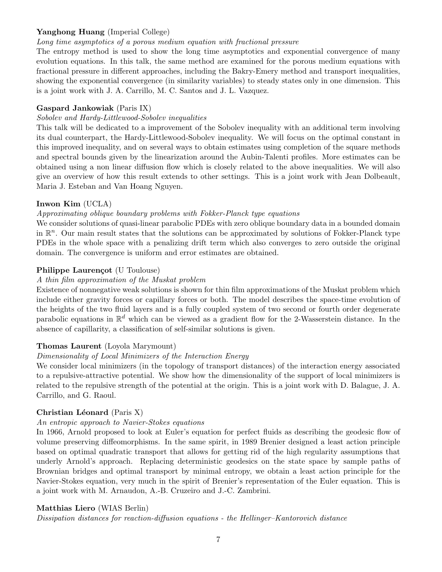## Yanghong Huang (Imperial College)

## Long time asymptotics of a porous medium equation with fractional pressure

The entropy method is used to show the long time asymptotics and exponential convergence of many evolution equations. In this talk, the same method are examined for the porous medium equations with fractional pressure in different approaches, including the Bakry-Emery method and transport inequalities, showing the exponential convergence (in similarity variables) to steady states only in one dimension. This is a joint work with J. A. Carrillo, M. C. Santos and J. L. Vazquez.

## Gaspard Jankowiak (Paris IX)

## Sobolev and Hardy-Littlewood-Sobolev inequalities

This talk will be dedicated to a improvement of the Sobolev inequality with an additional term involving its dual counterpart, the Hardy-Littlewood-Sobolev inequality. We will focus on the optimal constant in this improved inequality, and on several ways to obtain estimates using completion of the square methods and spectral bounds given by the linearization around the Aubin-Talenti profiles. More estimates can be obtained using a non linear diffusion flow which is closely related to the above inequalities. We will also give an overview of how this result extends to other settings. This is a joint work with Jean Dolbeault, Maria J. Esteban and Van Hoang Nguyen.

## Inwon Kim (UCLA)

## Approximating oblique boundary problems with Fokker-Planck type equations

We consider solutions of quasi-linear parabolic PDEs with zero oblique boundary data in a bounded domain in  $\mathbb{R}^n$ . Our main result states that the solutions can be approximated by solutions of Fokker-Planck type PDEs in the whole space with a penalizing drift term which also converges to zero outside the original domain. The convergence is uniform and error estimates are obtained.

## Philippe Laurençot (U Toulouse)

## A thin film approximation of the Muskat problem

Existence of nonnegative weak solutions is shown for thin film approximations of the Muskat problem which include either gravity forces or capillary forces or both. The model describes the space-time evolution of the heights of the two fluid layers and is a fully coupled system of two second or fourth order degenerate parabolic equations in  $\mathbb{R}^d$  which can be viewed as a gradient flow for the 2-Wasserstein distance. In the absence of capillarity, a classification of self-similar solutions is given.

## Thomas Laurent (Loyola Marymount)

## Dimensionality of Local Minimizers of the Interaction Energy

We consider local minimizers (in the topology of transport distances) of the interaction energy associated to a repulsive-attractive potential. We show how the dimensionality of the support of local minimizers is related to the repulsive strength of the potential at the origin. This is a joint work with D. Balague, J. A. Carrillo, and G. Raoul.

## Christian Léonard (Paris X)

## An entropic approach to Navier-Stokes equations

In 1966, Arnold proposed to look at Euler's equation for perfect fluids as describing the geodesic flow of volume preserving diffeomorphisms. In the same spirit, in 1989 Brenier designed a least action principle based on optimal quadratic transport that allows for getting rid of the high regularity assumptions that underly Arnold's approach. Replacing deterministic geodesics on the state space by sample paths of Brownian bridges and optimal transport by minimal entropy, we obtain a least action principle for the Navier-Stokes equation, very much in the spirit of Brenier's representation of the Euler equation. This is a joint work with M. Arnaudon, A.-B. Cruzeiro and J.-C. Zambrini.

## Matthias Liero (WIAS Berlin)

Dissipation distances for reaction-diffusion equations - the Hellinger–Kantorovich distance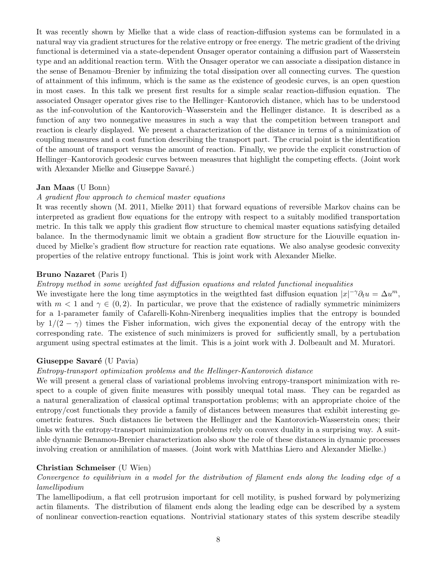It was recently shown by Mielke that a wide class of reaction-diffusion systems can be formulated in a natural way via gradient structures for the relative entropy or free energy. The metric gradient of the driving functional is determined via a state-dependent Onsager operator containing a diffusion part of Wasserstein type and an additional reaction term. With the Onsager operator we can associate a dissipation distance in the sense of Benamou–Brenier by infimizing the total dissipation over all connecting curves. The question of attainment of this infimum, which is the same as the existence of geodesic curves, is an open question in most cases. In this talk we present first results for a simple scalar reaction-diffusion equation. The associated Onsager operator gives rise to the Hellinger–Kantorovich distance, which has to be understood as the inf-convolution of the Kantorovich–Wasserstein and the Hellinger distance. It is described as a function of any two nonnegative measures in such a way that the competition between transport and reaction is clearly displayed. We present a characterization of the distance in terms of a minimization of coupling measures and a cost function describing the transport part. The crucial point is the identification of the amount of transport versus the amount of reaction. Finally, we provide the explicit construction of Hellinger–Kantorovich geodesic curves between measures that highlight the competing effects. (Joint work with Alexander Mielke and Giuseppe Savaré.)

#### Jan Maas (U Bonn)

#### A gradient flow approach to chemical master equations

It was recently shown (M. 2011, Mielke 2011) that forward equations of reversible Markov chains can be interpreted as gradient flow equations for the entropy with respect to a suitably modified transportation metric. In this talk we apply this gradient flow structure to chemical master equations satisfying detailed balance. In the thermodynamic limit we obtain a gradient flow structure for the Liouville equation induced by Mielke's gradient flow structure for reaction rate equations. We also analyse geodesic convexity properties of the relative entropy functional. This is joint work with Alexander Mielke.

#### Bruno Nazaret (Paris I)

#### Entropy method in some weighted fast diffusion equations and related functional inequalities

We investigate here the long time asymptotics in the weigthted fast diffusion equation  $|x|^{-\gamma}\partial_t u = \Delta u^m$ , with  $m < 1$  and  $\gamma \in (0, 2)$ . In particular, we prove that the existence of radially symmetric minimizers for a 1-parameter family of Cafarelli-Kohn-Nirenberg inequalities implies that the entropy is bounded by  $1/(2 - \gamma)$  times the Fisher information, wich gives the exponential decay of the entropy with the corresponding rate. The existence of such minimizers is proved for sufficiently small, by a pertubation argument using spectral estimates at the limit. This is a joint work with J. Dolbeault and M. Muratori.

#### Giuseppe Savaré (U Pavia)

#### Entropy-transport optimization problems and the Hellinger-Kantorovich distance

We will present a general class of variational problems involving entropy-transport minimization with respect to a couple of given finite measures with possibly unequal total mass. They can be regarded as a natural generalization of classical optimal transportation problems; with an appropriate choice of the entropy/cost functionals they provide a family of distances between measures that exhibit interesting geometric features. Such distances lie between the Hellinger and the Kantorovich-Wasserstein ones; their links with the entropy-transport minimization problems rely on convex duality in a surprising way. A suitable dynamic Benamou-Brenier characterization also show the role of these distances in dynamic processes involving creation or annihilation of masses. (Joint work with Matthias Liero and Alexander Mielke.)

#### Christian Schmeiser (U Wien)

Convergence to equilibrium in a model for the distribution of filament ends along the leading edge of a lamellipodium

The lamellipodium, a flat cell protrusion important for cell motility, is pushed forward by polymerizing actin filaments. The distribution of filament ends along the leading edge can be described by a system of nonlinear convection-reaction equations. Nontrivial stationary states of this system describe steadily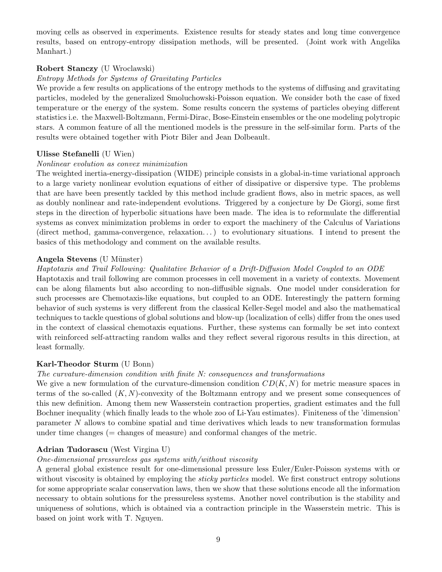moving cells as observed in experiments. Existence results for steady states and long time convergence results, based on entropy-entropy dissipation methods, will be presented. (Joint work with Angelika Manhart.)

## Robert Stanczy (U Wroclawski)

## Entropy Methods for Systems of Gravitating Particles

We provide a few results on applications of the entropy methods to the systems of diffusing and gravitating particles, modeled by the generalized Smoluchowski-Poisson equation. We consider both the case of fixed temperature or the energy of the system. Some results concern the systems of particles obeying different statistics i.e. the Maxwell-Boltzmann, Fermi-Dirac, Bose-Einstein ensembles or the one modeling polytropic stars. A common feature of all the mentioned models is the pressure in the self-similar form. Parts of the results were obtained together with Piotr Biler and Jean Dolbeault.

## Ulisse Stefanelli (U Wien)

#### Nonlinear evolution as convex minimization

The weighted inertia-energy-dissipation (WIDE) principle consists in a global-in-time variational approach to a large variety nonlinear evolution equations of either of dissipative or dispersive type. The problems that are have been presently tackled by this method include gradient flows, also in metric spaces, as well as doubly nonlinear and rate-independent evolutions. Triggered by a conjecture by De Giorgi, some first steps in the direction of hyperbolic situations have been made. The idea is to reformulate the differential systems as convex minimization problems in order to export the machinery of the Calculus of Variations (direct method, gamma-convergence, relaxation. . . ) to evolutionary situations. I intend to present the basics of this methodology and comment on the available results.

## Angela Stevens (U Münster)

## Haptotaxis and Trail Following: Qualitative Behavior of a Drift-Diffusion Model Coupled to an ODE

Haptotaxis and trail following are common processes in cell movement in a variety of contexts. Movement can be along filaments but also according to non-diffusible signals. One model under consideration for such processes are Chemotaxis-like equations, but coupled to an ODE. Interestingly the pattern forming behavior of such systems is very different from the classical Keller-Segel model and also the mathematical techniques to tackle questions of global solutions and blow-up (localization of cells) differ from the ones used in the context of classical chemotaxis equations. Further, these systems can formally be set into context with reinforced self-attracting random walks and they reflect several rigorous results in this direction, at least formally.

## Karl-Theodor Sturm (U Bonn)

## The curvature-dimension condition with finite N: consequences and transformations

We give a new formulation of the curvature-dimension condition  $CD(K, N)$  for metric measure spaces in terms of the so-called  $(K, N)$ -convexity of the Boltzmann entropy and we present some consequences of this new definition. Among them new Wasserstein contraction properties, gradient estimates and the full Bochner inequality (which finally leads to the whole zoo of Li-Yau estimates). Finiteness of the 'dimension' parameter N allows to combine spatial and time derivatives which leads to new transformation formulas under time changes (= changes of measure) and conformal changes of the metric.

## Adrian Tudorascu (West Virgina U)

## One-dimensional pressureless gas systems with/without viscosity

A general global existence result for one-dimensional pressure less Euler/Euler-Poisson systems with or without viscosity is obtained by employing the *sticky particles* model. We first construct entropy solutions for some appropriate scalar conservation laws, then we show that these solutions encode all the information necessary to obtain solutions for the pressureless systems. Another novel contribution is the stability and uniqueness of solutions, which is obtained via a contraction principle in the Wasserstein metric. This is based on joint work with T. Nguyen.